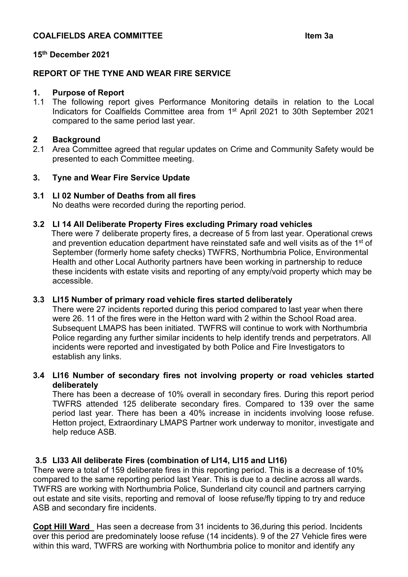# **COALFIELDS AREA COMMITTEE Item 3a**

## **15th December 2021**

# **REPORT OF THE TYNE AND WEAR FIRE SERVICE**

#### **1. Purpose of Report**

1.1 The following report gives Performance Monitoring details in relation to the Local Indicators for Coalfields Committee area from 1st April 2021 to 30th September 2021 compared to the same period last year.

# **2 Background**

Area Committee agreed that regular updates on Crime and Community Safety would be presented to each Committee meeting.

## **3. Tyne and Wear Fire Service Update**

## **3.1 LI 02 Number of Deaths from all fires**

No deaths were recorded during the reporting period.

## **3.2 LI 14 All Deliberate Property Fires excluding Primary road vehicles**

There were 7 deliberate property fires, a decrease of 5 from last year. Operational crews and prevention education department have reinstated safe and well visits as of the 1<sup>st</sup> of September (formerly home safety checks) TWFRS, Northumbria Police, Environmental Health and other Local Authority partners have been working in partnership to reduce these incidents with estate visits and reporting of any empty/void property which may be accessible.

#### **3.3 LI15 Number of primary road vehicle fires started deliberately**

There were 27 incidents reported during this period compared to last year when there were 26. 11 of the fires were in the Hetton ward with 2 within the School Road area. Subsequent LMAPS has been initiated. TWFRS will continue to work with Northumbria Police regarding any further similar incidents to help identify trends and perpetrators. All incidents were reported and investigated by both Police and Fire Investigators to establish any links.

# **3.4 LI16 Number of secondary fires not involving property or road vehicles started deliberately**

There has been a decrease of 10% overall in secondary fires. During this report period TWFRS attended 125 deliberate secondary fires. Compared to 139 over the same period last year. There has been a 40% increase in incidents involving loose refuse. Hetton project, Extraordinary LMAPS Partner work underway to monitor, investigate and help reduce ASB.

# **3.5 LI33 All deliberate Fires (combination of LI14, LI15 and LI16)**

There were a total of 159 deliberate fires in this reporting period. This is a decrease of 10% compared to the same reporting period last Year. This is due to a decline across all wards. TWFRS are working with Northumbria Police, Sunderland city council and partners carrying out estate and site visits, reporting and removal of loose refuse/fly tipping to try and reduce ASB and secondary fire incidents.

**Copt Hill Ward** Has seen a decrease from 31 incidents to 36,during this period. Incidents over this period are predominately loose refuse (14 incidents). 9 of the 27 Vehicle fires were within this ward, TWFRS are working with Northumbria police to monitor and identify any